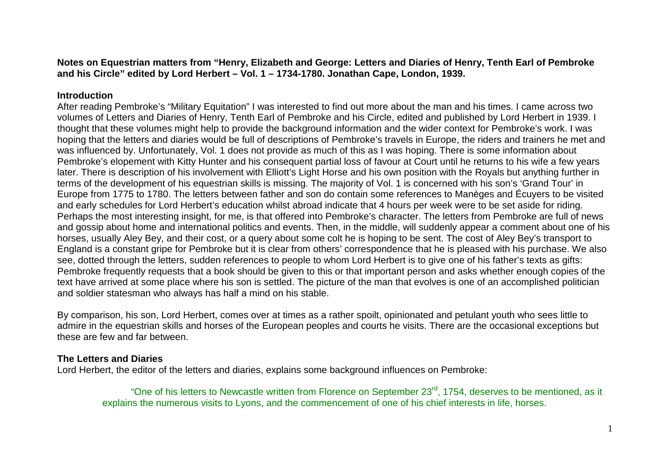**Notes on Equestrian matters from "Henry, Elizabeth and George: Letters and Diaries of Henry, Tenth Earl of Pembroke and his Circle" edited by Lord Herbert – Vol. 1 – 1734-1780. Jonathan Cape, London, 1939.** 

## **Introduction**

 After reading Pembroke's "Military Equitation" I was interested to find out more about the man and his times. I came across two volumes of Letters and Diaries of Henry, Tenth Earl of Pembroke and his Circle, edited and published by Lord Herbert in 1939. I thought that these volumes might help to provide the background information and the wider context for Pembroke's work. I was hoping that the letters and diaries would be full of descriptions of Pembroke's travels in Europe, the riders and trainers he met and was influenced by. Unfortunately, Vol. 1 does not provide as much of this as I was hoping. There is some information about Pembroke's elopement with Kitty Hunter and his consequent partial loss of favour at Court until he returns to his wife a few years later. There is description of his involvement with Elliott's Light Horse and his own position with the Royals but anything further in terms of the development of his equestrian skills is missing. The majority of Vol. 1 is concerned with his son's 'Grand Tour' in Europe from 1775 to 1780. The letters between father and son do contain some references to Manèges and Écuyers to be visited and early schedules for Lord Herbert's education whilst abroad indicate that 4 hours per week were to be set aside for riding. Perhaps the most interesting insight, for me, is that offered into Pembroke's character. The letters from Pembroke are full of news and gossip about home and international politics and events. Then, in the middle, will suddenly appear a comment about one of his horses, usually Aley Bey, and their cost, or a query about some colt he is hoping to be sent. The cost of Aley Bey's transport to England is a constant gripe for Pembroke but it is clear from others' correspondence that he is pleased with his purchase. We also see, dotted through the letters, sudden references to people to whom Lord Herbert is to give one of his father's texts as gifts: Pembroke frequently requests that a book should be given to this or that important person and asks whether enough copies of the text have arrived at some place where his son is settled. The picture of the man that evolves is one of an accomplished politician and soldier statesman who always has half a mind on his stable.

By comparison, his son, Lord Herbert, comes over at times as a rather spoilt, opinionated and petulant youth who sees little to admire in the equestrian skills and horses of the European peoples and courts he visits. There are the occasional exceptions but these are few and far between.

## **The Letters and Diaries**

Lord Herbert, the editor of the letters and diaries, explains some background influences on Pembroke:

"One of his letters to Newcastle written from Florence on September 23<sup>rd</sup>, 1754, deserves to be mentioned, as it explains the numerous visits to Lyons, and the commencement of one of his chief interests in life, horses.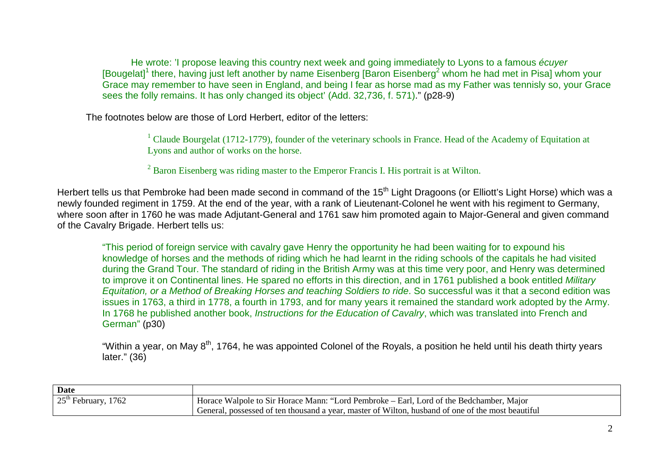He wrote: 'I propose leaving this country next week and going immediately to Lyons to a famous écuyer [Bougelat] $^1$  there, having just left another by name Eisenberg [Baron Eisenberg $^2$  whom he had met in Pisa] whom your Grace may remember to have seen in England, and being I fear as horse mad as my Father was tennisly so, your Grace sees the folly remains. It has only changed its object' (Add. 32,736, f. 571)." (p28-9)

The footnotes below are those of Lord Herbert, editor of the letters:

<sup>1</sup> Claude Bourgelat (1712-1779), founder of the veterinary schools in France. Head of the Academy of Equitation at Lyons and author of works on the horse.

 $2^2$  Baron Eisenberg was riding master to the Emperor Francis I. His portrait is at Wilton.

Herbert tells us that Pembroke had been made second in command of the 15<sup>th</sup> Light Dragoons (or Elliott's Light Horse) which was a newly founded regiment in 1759. At the end of the year, with a rank of Lieutenant-Colonel he went with his regiment to Germany, where soon after in 1760 he was made Adjutant-General and 1761 saw him promoted again to Major-General and given command of the Cavalry Brigade. Herbert tells us:

"This period of foreign service with cavalry gave Henry the opportunity he had been waiting for to expound his knowledge of horses and the methods of riding which he had learnt in the riding schools of the capitals he had visited during the Grand Tour. The standard of riding in the British Army was at this time very poor, and Henry was determined to improve it on Continental lines. He spared no efforts in this direction, and in 1761 published a book entitled Military Equitation, or a Method of Breaking Horses and teaching Soldiers to ride. So successful was it that a second edition was issues in 1763, a third in 1778, a fourth in 1793, and for many years it remained the standard work adopted by the Army. In 1768 he published another book, *Instructions for the Education of Cavalry*, which was translated into French and German" (p30)

"Within a year, on May 8<sup>th</sup>, 1764, he was appointed Colonel of the Royals, a position he held until his death thirty years later." (36)

| <b>Date</b>           |                                                                                                   |
|-----------------------|---------------------------------------------------------------------------------------------------|
| $25th$ February, 1762 | Horace Walpole to Sir Horace Mann: "Lord Pembroke – Earl, Lord of the Bedchamber, Major           |
|                       | General, possessed of ten thousand a year, master of Wilton, husband of one of the most beautiful |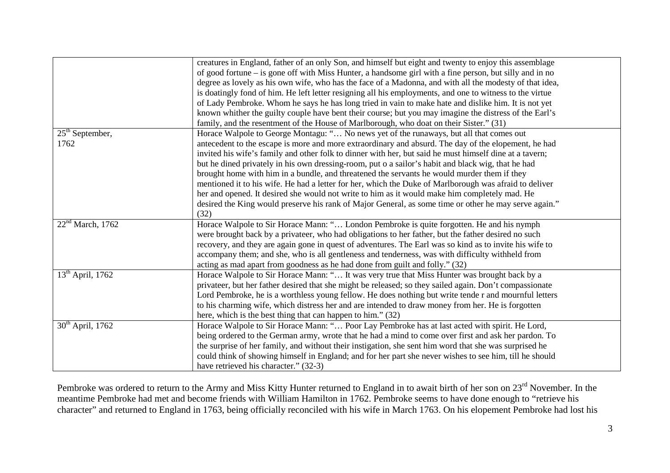|                              | creatures in England, father of an only Son, and himself but eight and twenty to enjoy this assemblage   |
|------------------------------|----------------------------------------------------------------------------------------------------------|
|                              | of good fortune – is gone off with Miss Hunter, a handsome girl with a fine person, but silly and in no  |
|                              | degree as lovely as his own wife, who has the face of a Madonna, and with all the modesty of that idea,  |
|                              | is doatingly fond of him. He left letter resigning all his employments, and one to witness to the virtue |
|                              | of Lady Pembroke. Whom he says he has long tried in vain to make hate and dislike him. It is not yet     |
|                              | known whither the guilty couple have bent their course; but you may imagine the distress of the Earl's   |
|                              | family, and the resentment of the House of Marlborough, who doat on their Sister." (31)                  |
| $25th$ September,            | Horace Walpole to George Montagu: " No news yet of the runaways, but all that comes out                  |
| 1762                         | antecedent to the escape is more and more extraordinary and absurd. The day of the elopement, he had     |
|                              | invited his wife's family and other folk to dinner with her, but said he must himself dine at a tavern;  |
|                              | but he dined privately in his own dressing-room, put o a sailor's habit and black wig, that he had       |
|                              | brought home with him in a bundle, and threatened the servants he would murder them if they              |
|                              | mentioned it to his wife. He had a letter for her, which the Duke of Marlborough was afraid to deliver   |
|                              | her and opened. It desired she would not write to him as it would make him completely mad. He            |
|                              | desired the King would preserve his rank of Major General, as some time or other he may serve again."    |
|                              | (32)                                                                                                     |
| 22 <sup>nd</sup> March, 1762 | Horace Walpole to Sir Horace Mann: " London Pembroke is quite forgotten. He and his nymph                |
|                              | were brought back by a privateer, who had obligations to her father, but the father desired no such      |
|                              | recovery, and they are again gone in quest of adventures. The Earl was so kind as to invite his wife to  |
|                              | accompany them; and she, who is all gentleness and tenderness, was with difficulty withheld from         |
|                              | acting as mad apart from goodness as he had done from guilt and folly." (32)                             |
| $13th$ April, 1762           | Horace Walpole to Sir Horace Mann: " It was very true that Miss Hunter was brought back by a             |
|                              | privateer, but her father desired that she might be released; so they sailed again. Don't compassionate  |
|                              | Lord Pembroke, he is a worthless young fellow. He does nothing but write tende r and mournful letters    |
|                              | to his charming wife, which distress her and are intended to draw money from her. He is forgotten        |
|                              | here, which is the best thing that can happen to him." (32)                                              |
| $30th$ April, 1762           | Horace Walpole to Sir Horace Mann: " Poor Lay Pembroke has at last acted with spirit. He Lord,           |
|                              | being ordered to the German army, wrote that he had a mind to come over first and ask her pardon. To     |
|                              | the surprise of her family, and without their instigation, she sent him word that she was surprised he   |
|                              | could think of showing himself in England; and for her part she never wishes to see him, till he should  |
|                              | have retrieved his character." (32-3)                                                                    |

Pembroke was ordered to return to the Army and Miss Kitty Hunter returned to England in to await birth of her son on  $23^{\text{rd}}$  November. In the meantime Pembroke had met and become friends with William Hamilton in 1762. Pembroke seems to have done enough to "retrieve his character" and returned to England in 1763, being officially reconciled with his wife in March 1763. On his elopement Pembroke had lost his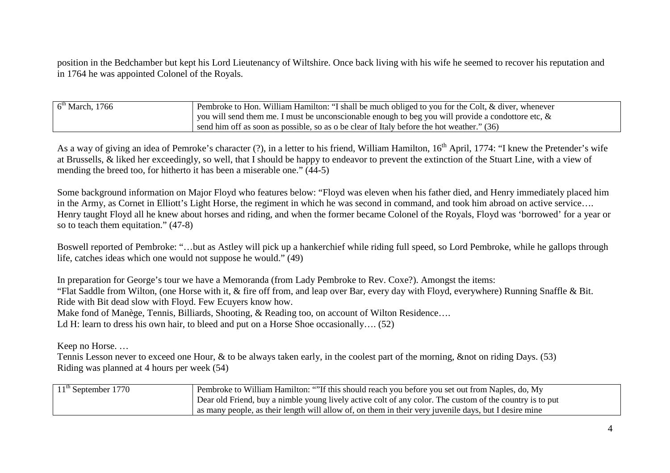position in the Bedchamber but kept his Lord Lieutenancy of Wiltshire. Once back living with his wife he seemed to recover his reputation and in 1764 he was appointed Colonel of the Royals.

| $6th$ March, 1766 | Pembroke to Hon. William Hamilton: "I shall be much obliged to you for the Colt, & diver, whenever    |
|-------------------|-------------------------------------------------------------------------------------------------------|
|                   | you will send them me. I must be unconscionable enough to beg you will provide a condottore etc, $\&$ |
|                   | send him off as soon as possible, so as o be clear of Italy before the hot weather." (36)             |

As a way of giving an idea of Pemroke's character (?), in a letter to his friend, William Hamilton, 16<sup>th</sup> April, 1774: "I knew the Pretender's wife at Brussells, & liked her exceedingly, so well, that I should be happy to endeavor to prevent the extinction of the Stuart Line, with a view of mending the breed too, for hitherto it has been a miserable one." (44-5)

Some background information on Major Floyd who features below: "Floyd was eleven when his father died, and Henry immediately placed him in the Army, as Cornet in Elliott's Light Horse, the regiment in which he was second in command, and took him abroad on active service…. Henry taught Floyd all he knew about horses and riding, and when the former became Colonel of the Royals, Floyd was 'borrowed' for a year or so to teach them equitation." (47-8)

Boswell reported of Pembroke: "…but as Astley will pick up a hankerchief while riding full speed, so Lord Pembroke, while he gallops through life, catches ideas which one would not suppose he would." (49)

In preparation for George's tour we have a Memoranda (from Lady Pembroke to Rev. Coxe?). Amongst the items: "Flat Saddle from Wilton, (one Horse with it, & fire off from, and leap over Bar, every day with Floyd, everywhere) Running Snaffle & Bit. Ride with Bit dead slow with Floyd. Few Ecuyers know how.

Make fond of Manège, Tennis, Billiards, Shooting, & Reading too, on account of Wilton Residence....

Ld H: learn to dress his own hair, to bleed and put on a Horse Shoe occasionally.... (52)

Keep no Horse. …

Tennis Lesson never to exceed one Hour, & to be always taken early, in the coolest part of the morning, & not on riding Days. (53) Riding was planned at 4 hours per week (54)

| $11th$ September 1770 | Pembroke to William Hamilton: ""If this should reach you before you set out from Naples, do, My          |
|-----------------------|----------------------------------------------------------------------------------------------------------|
|                       | Dear old Friend, buy a nimble young lively active colt of any color. The custom of the country is to put |
|                       | as many people, as their length will allow of, on them in their very juvenile days, but I desire mine    |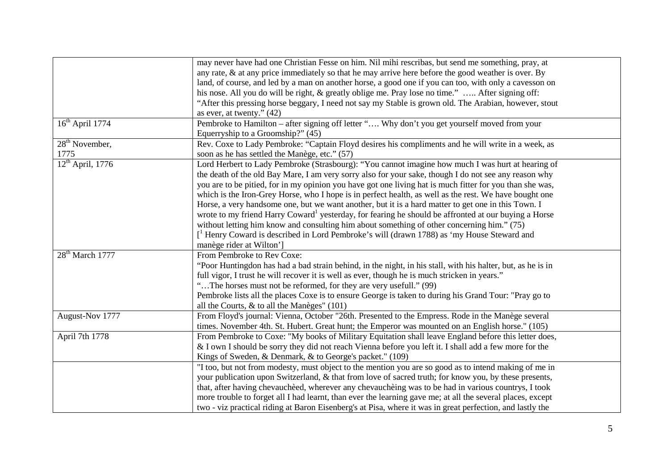|                    | may never have had one Christian Fesse on him. Nil mihi rescribas, but send me something, pray, at               |
|--------------------|------------------------------------------------------------------------------------------------------------------|
|                    | any rate, & at any price immediately so that he may arrive here before the good weather is over. By              |
|                    | land, of course, and led by a man on another horse, a good one if you can too, with only a cavesson on           |
|                    | his nose. All you do will be right, & greatly oblige me. Pray lose no time."  After signing off:                 |
|                    | "After this pressing horse beggary, I need not say my Stable is grown old. The Arabian, however, stout           |
|                    | as ever, at twenty." $(42)$                                                                                      |
| $16th$ April 1774  | Pembroke to Hamilton - after signing off letter " Why don't you get yourself moved from your                     |
|                    | Equerryship to a Groomship?" (45)                                                                                |
| $28th$ November,   | Rev. Coxe to Lady Pembroke: "Captain Floyd desires his compliments and he will write in a week, as               |
| 1775               | soon as he has settled the Manège, etc." (57)                                                                    |
| $12th$ April, 1776 | Lord Herbert to Lady Pembroke (Strasbourg): "You cannot imagine how much I was hurt at hearing of                |
|                    | the death of the old Bay Mare, I am very sorry also for your sake, though I do not see any reason why            |
|                    | you are to be pitied, for in my opinion you have got one living hat is much fitter for you than she was,         |
|                    | which is the Iron-Grey Horse, who I hope is in perfect health, as well as the rest. We have bought one           |
|                    | Horse, a very handsome one, but we want another, but it is a hard matter to get one in this Town. I              |
|                    | wrote to my friend Harry Coward <sup>1</sup> yesterday, for fearing he should be affronted at our buying a Horse |
|                    | without letting him know and consulting him about something of other concerning him." (75)                       |
|                    | [ <sup>1</sup> Henry Coward is described in Lord Pembroke's will (drawn 1788) as 'my House Steward and           |
|                    | manège rider at Wilton']                                                                                         |
| $28th$ March 1777  | From Pembroke to Rev Coxe:                                                                                       |
|                    | "Poor Huntingdon has had a bad strain behind, in the night, in his stall, with his halter, but, as he is in      |
|                    | full vigor, I trust he will recover it is well as ever, though he is much stricken in years."                    |
|                    | "The horses must not be reformed, for they are very usefull." (99)                                               |
|                    | Pembroke lists all the places Coxe is to ensure George is taken to during his Grand Tour: "Pray go to            |
|                    | all the Courts, $\&$ to all the Manèges" (101)                                                                   |
| August-Nov 1777    | From Floyd's journal: Vienna, October "26th. Presented to the Empress. Rode in the Manège several                |
|                    | times. November 4th. St. Hubert. Great hunt; the Emperor was mounted on an English horse." (105)                 |
| April 7th 1778     | From Pembroke to Coxe: "My books of Military Equitation shall leave England before this letter does,             |
|                    | & I own I should be sorry they did not reach Vienna before you left it. I shall add a few more for the           |
|                    | Kings of Sweden, & Denmark, & to George's packet." (109)                                                         |
|                    | "I too, but not from modesty, must object to the mention you are so good as to intend making of me in            |
|                    | your publication upon Switzerland, & that from love of sacred truth; for know you, by these presents,            |
|                    | that, after having chevaucheed, wherever any chevaucheing was to be had in various countrys, I took              |
|                    | more trouble to forget all I had learnt, than ever the learning gave me; at all the several places, except       |
|                    | two - viz practical riding at Baron Eisenberg's at Pisa, where it was in great perfection, and lastly the        |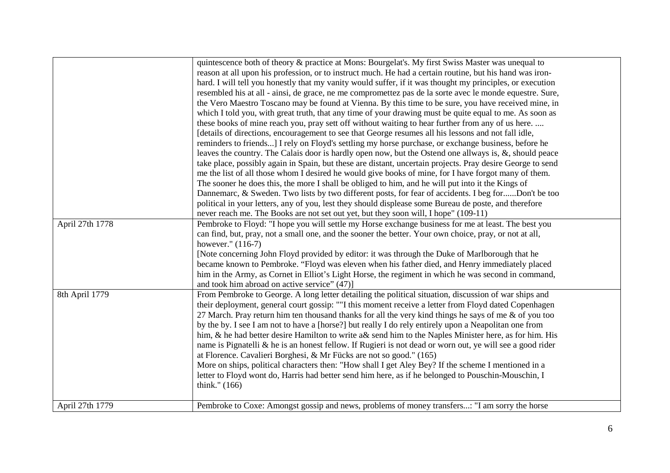|                 | quintescence both of theory & practice at Mons: Bourgelat's. My first Swiss Master was unequal to<br>reason at all upon his profession, or to instruct much. He had a certain routine, but his hand was iron-<br>hard. I will tell you honestly that my vanity would suffer, if it was thought my principles, or execution<br>resembled his at all - ainsi, de grace, ne me compromettez pas de la sorte avec le monde equestre. Sure,<br>the Vero Maestro Toscano may be found at Vienna. By this time to be sure, you have received mine, in<br>which I told you, with great truth, that any time of your drawing must be quite equal to me. As soon as<br>these books of mine reach you, pray sett off without waiting to hear further from any of us here.<br>[details of directions, encouragement to see that George resumes all his lessons and not fall idle,<br>reminders to friends] I rely on Floyd's settling my horse purchase, or exchange business, before he<br>leaves the country. The Calais door is hardly open now, but the Ostend one allways is, $\&$ , should peace<br>take place, possibly again in Spain, but these are distant, uncertain projects. Pray desire George to send<br>me the list of all those whom I desired he would give books of mine, for I have forgot many of them.<br>The sooner he does this, the more I shall be obliged to him, and he will put into it the Kings of<br>Dannemarc, & Sweden. Two lists by two different posts, for fear of accidents. I beg forDon't be too<br>political in your letters, any of you, lest they should displease some Bureau de poste, and therefore<br>never reach me. The Books are not set out yet, but they soon will, I hope" (109-11) |
|-----------------|------------------------------------------------------------------------------------------------------------------------------------------------------------------------------------------------------------------------------------------------------------------------------------------------------------------------------------------------------------------------------------------------------------------------------------------------------------------------------------------------------------------------------------------------------------------------------------------------------------------------------------------------------------------------------------------------------------------------------------------------------------------------------------------------------------------------------------------------------------------------------------------------------------------------------------------------------------------------------------------------------------------------------------------------------------------------------------------------------------------------------------------------------------------------------------------------------------------------------------------------------------------------------------------------------------------------------------------------------------------------------------------------------------------------------------------------------------------------------------------------------------------------------------------------------------------------------------------------------------------------------------------------------------------------------------------------------------------------------|
| April 27th 1778 | Pembroke to Floyd: "I hope you will settle my Horse exchange business for me at least. The best you<br>can find, but, pray, not a small one, and the sooner the better. Your own choice, pray, or not at all,<br>however." (116-7)<br>[Note concerning John Floyd provided by editor: it was through the Duke of Marlborough that he<br>became known to Pembroke. "Floyd was eleven when his father died, and Henry immediately placed<br>him in the Army, as Cornet in Elliot's Light Horse, the regiment in which he was second in command,<br>and took him abroad on active service" (47)]                                                                                                                                                                                                                                                                                                                                                                                                                                                                                                                                                                                                                                                                                                                                                                                                                                                                                                                                                                                                                                                                                                                                |
| 8th April 1779  | From Pembroke to George. A long letter detailing the political situation, discussion of war ships and<br>their deployment, general court gossip: ""I this moment receive a letter from Floyd dated Copenhagen<br>27 March. Pray return him ten thousand thanks for all the very kind things he says of me & of you too<br>by the by. I see I am not to have a [horse?] but really I do rely entirely upon a Neapolitan one from<br>him, & he had better desire Hamilton to write a& send him to the Naples Minister here, as for him. His<br>name is Pignatelli & he is an honest fellow. If Rugieri is not dead or worn out, ye will see a good rider<br>at Florence. Cavalieri Borghesi, & Mr Fücks are not so good." (165)<br>More on ships, political characters then: "How shall I get Aley Bey? If the scheme I mentioned in a<br>letter to Floyd wont do, Harris had better send him here, as if he belonged to Pouschin-Mouschin, I<br>think." (166)                                                                                                                                                                                                                                                                                                                                                                                                                                                                                                                                                                                                                                                                                                                                                                 |
| April 27th 1779 | Pembroke to Coxe: Amongst gossip and news, problems of money transfers: "I am sorry the horse                                                                                                                                                                                                                                                                                                                                                                                                                                                                                                                                                                                                                                                                                                                                                                                                                                                                                                                                                                                                                                                                                                                                                                                                                                                                                                                                                                                                                                                                                                                                                                                                                                |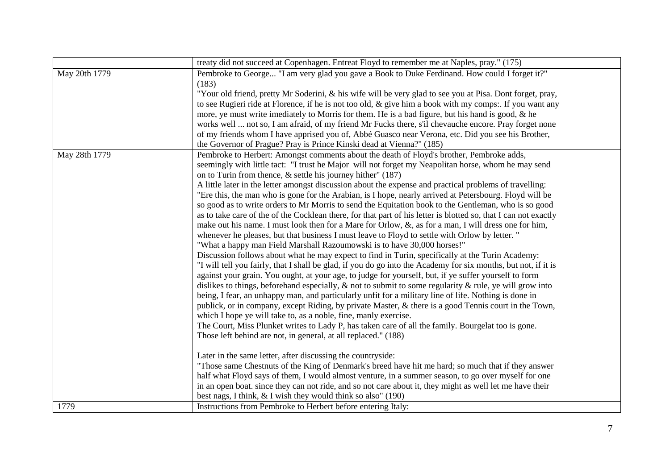|               | treaty did not succeed at Copenhagen. Entreat Floyd to remember me at Naples, pray." (175)                      |
|---------------|-----------------------------------------------------------------------------------------------------------------|
| May 20th 1779 | Pembroke to George "I am very glad you gave a Book to Duke Ferdinand. How could I forget it?"<br>(183)          |
|               | "Your old friend, pretty Mr Soderini, & his wife will be very glad to see you at Pisa. Dont forget, pray,       |
|               | to see Rugieri ride at Florence, if he is not too old, & give him a book with my comps:. If you want any        |
|               | more, ye must write imediately to Morris for them. He is a bad figure, but his hand is good, & he               |
|               | works well  not so, I am afraid, of my friend Mr Fucks there, s'il chevauche encore. Pray forget none           |
|               | of my friends whom I have apprised you of, Abbé Guasco near Verona, etc. Did you see his Brother,               |
|               | the Governor of Prague? Pray is Prince Kinski dead at Vienna?" (185)                                            |
| May 28th 1779 | Pembroke to Herbert: Amongst comments about the death of Floyd's brother, Pembroke adds,                        |
|               | seemingly with little tact: "I trust he Major will not forget my Neapolitan horse, whom he may send             |
|               | on to Turin from thence, $\&$ settle his journey hither" (187)                                                  |
|               | A little later in the letter amongst discussion about the expense and practical problems of travelling:         |
|               | "Ere this, the man who is gone for the Arabian, is I hope, nearly arrived at Petersbourg. Floyd will be         |
|               | so good as to write orders to Mr Morris to send the Equitation book to the Gentleman, who is so good            |
|               | as to take care of the of the Cocklean there, for that part of his letter is blotted so, that I can not exactly |
|               | make out his name. I must look then for a Mare for Orlow, $\&$ , as for a man, I will dress one for him,        |
|               | whenever he pleases, but that business I must leave to Floyd to settle with Orlow by letter. "                  |
|               | "What a happy man Field Marshall Razoumowski is to have 30,000 horses!"                                         |
|               | Discussion follows about what he may expect to find in Turin, specifically at the Turin Academy:                |
|               | "I will tell you fairly, that I shall be glad, if you do go into the Academy for six months, but not, if it is  |
|               | against your grain. You ought, at your age, to judge for yourself, but, if ye suffer yourself to form           |
|               | dislikes to things, beforehand especially, $\&$ not to submit to some regularity $\&$ rule, ye will grow into   |
|               | being, I fear, an unhappy man, and particularly unfit for a military line of life. Nothing is done in           |
|               | publick, or in company, except Riding, by private Master, & there is a good Tennis court in the Town,           |
|               | which I hope ye will take to, as a noble, fine, manly exercise.                                                 |
|               | The Court, Miss Plunket writes to Lady P, has taken care of all the family. Bourgelat too is gone.              |
|               | Those left behind are not, in general, at all replaced." (188)                                                  |
|               | Later in the same letter, after discussing the countryside:                                                     |
|               | "Those same Chestnuts of the King of Denmark's breed have hit me hard; so much that if they answer              |
|               | half what Floyd says of them, I would almost venture, in a summer season, to go over myself for one             |
|               | in an open boat. since they can not ride, and so not care about it, they might as well let me have their        |
|               | best nags, I think, $&$ I wish they would think so also" (190)                                                  |
| 1779          | Instructions from Pembroke to Herbert before entering Italy:                                                    |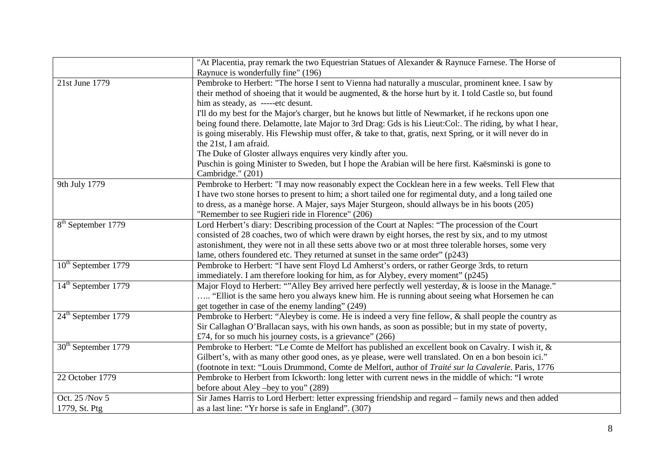|                                 | "At Placentia, pray remark the two Equestrian Statues of Alexander & Raynuce Farnese. The Horse of        |
|---------------------------------|-----------------------------------------------------------------------------------------------------------|
|                                 | Raynuce is wonderfully fine" (196)                                                                        |
| 21st June 1779                  | Pembroke to Herbert: "The horse I sent to Vienna had naturally a muscular, prominent knee. I saw by       |
|                                 | their method of shoeing that it would be augmented, & the horse hurt by it. I told Castle so, but found   |
|                                 | him as steady, as -----etc desunt.                                                                        |
|                                 | I'll do my best for the Major's charger, but he knows but little of Newmarket, if he reckons upon one     |
|                                 | being found there. Delamotte, late Major to 3rd Drag: Gds is his Lieut: Col:. The riding, by what I hear, |
|                                 | is going miserably. His Flewship must offer, & take to that, gratis, next Spring, or it will never do in  |
|                                 | the 21st, I am afraid.                                                                                    |
|                                 | The Duke of Gloster allways enquires very kindly after you.                                               |
|                                 | Puschin is going Minister to Sweden, but I hope the Arabian will be here first. Kaësminski is gone to     |
|                                 | Cambridge." (201)                                                                                         |
| 9th July 1779                   | Pembroke to Herbert: "I may now reasonably expect the Cocklean here in a few weeks. Tell Flew that        |
|                                 | I have two stone horses to present to him; a short tailed one for regimental duty, and a long tailed one  |
|                                 | to dress, as a manège horse. A Majer, says Majer Sturgeon, should allways be in his boots (205)           |
|                                 | "Remember to see Rugieri ride in Florence" (206)                                                          |
| 8 <sup>th</sup> September 1779  | Lord Herbert's diary: Describing procession of the Court at Naples: "The procession of the Court          |
|                                 | consisted of 28 coaches, two of which were drawn by eight horses, the rest by six, and to my utmost       |
|                                 | astonishment, they were not in all these setts above two or at most three tolerable horses, some very     |
|                                 | lame, others foundered etc. They returned at sunset in the same order" (p243)                             |
| 10 <sup>th</sup> September 1779 | Pembroke to Herbert: "I have sent Floyd Ld Amherst's orders, or rather George 3rds, to return             |
|                                 | immediately. I am therefore looking for him, as for Alybey, every moment" (p245)                          |
| 14 <sup>th</sup> September 1779 | Major Floyd to Herbert: ""Alley Bey arrived here perfectly well yesterday, & is loose in the Manage."     |
|                                 | "Elliot is the same hero you always knew him. He is running about seeing what Horsemen he can             |
|                                 | get together in case of the enemy landing" (249)                                                          |
| 24 <sup>th</sup> September 1779 | Pembroke to Herbert: "Aleybey is come. He is indeed a very fine fellow, & shall people the country as     |
|                                 | Sir Callaghan O'Brallacan says, with his own hands, as soon as possible; but in my state of poverty,      |
|                                 | £74, for so much his journey costs, is a grievance" $(266)$                                               |
| 30 <sup>th</sup> September 1779 | Pembroke to Herbert: "Le Comte de Melfort has published an excellent book on Cavalry. I wish it, &        |
|                                 | Gilbert's, with as many other good ones, as ye please, were well translated. On en a bon besoin ici."     |
|                                 | (footnote in text: "Louis Drummond, Comte de Melfort, author of Traité sur la Cavalerie. Paris, 1776      |
| 22 October 1779                 | Pembroke to Herbert from Ickworth: long letter with current news in the middle of which: "I wrote         |
|                                 | before about Aley –bey to you" (289)                                                                      |
| Oct. 25 /Nov 5                  | Sir James Harris to Lord Herbert: letter expressing friendship and regard - family news and then added    |
| 1779, St. Ptg                   | as a last line: "Yr horse is safe in England". (307)                                                      |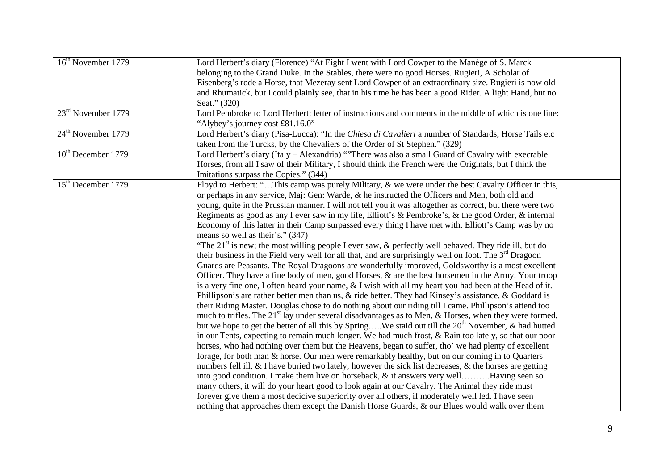| 16 <sup>th</sup> November 1779 | Lord Herbert's diary (Florence) "At Eight I went with Lord Cowper to the Manège of S. Marck                      |  |
|--------------------------------|------------------------------------------------------------------------------------------------------------------|--|
|                                | belonging to the Grand Duke. In the Stables, there were no good Horses. Rugieri, A Scholar of                    |  |
|                                | Eisenberg's rode a Horse, that Mezeray sent Lord Cowper of an extraordinary size. Rugieri is now old             |  |
|                                | and Rhumatick, but I could plainly see, that in his time he has been a good Rider. A light Hand, but no          |  |
|                                | Seat." (320)                                                                                                     |  |
| 23 <sup>rd</sup> November 1779 | Lord Pembroke to Lord Herbert: letter of instructions and comments in the middle of which is one line:           |  |
|                                | "Alybey's journey cost £81.16.0"                                                                                 |  |
| $24th$ November 1779           | Lord Herbert's diary (Pisa-Lucca): "In the Chiesa di Cavalieri a number of Standards, Horse Tails etc            |  |
|                                | taken from the Turcks, by the Chevaliers of the Order of St Stephen." (329)                                      |  |
| 10 <sup>th</sup> December 1779 | Lord Herbert's diary (Italy – Alexandria) "There was also a small Guard of Cavalry with execrable                |  |
|                                | Horses, from all I saw of their Military, I should think the French were the Originals, but I think the          |  |
|                                | Imitations surpass the Copies." (344)                                                                            |  |
| 15 <sup>th</sup> December 1779 | Floyd to Herbert: "This camp was purely Military, & we were under the best Cavalry Officer in this,              |  |
|                                | or perhaps in any service, Maj: Gen: Warde, & he instructed the Officers and Men, both old and                   |  |
|                                | young, quite in the Prussian manner. I will not tell you it was altogether as correct, but there were two        |  |
|                                | Regiments as good as any I ever saw in my life, Elliott's & Pembroke's, & the good Order, $\&$ internal          |  |
|                                | Economy of this latter in their Camp surpassed every thing I have met with. Elliott's Camp was by no             |  |
|                                | means so well as their's." (347)                                                                                 |  |
|                                | "The $21st$ is new; the most willing people I ever saw, & perfectly well behaved. They ride ill, but do          |  |
|                                | their business in the Field very well for all that, and are surprisingly well on foot. The $3rd$ Dragoon         |  |
|                                | Guards are Peasants. The Royal Dragoons are wonderfully improved, Goldsworthy is a most excellent                |  |
|                                | Officer. They have a fine body of men, good Horses, & are the best horsemen in the Army. Your troop              |  |
|                                | is a very fine one, I often heard your name, $&$ I wish with all my heart you had been at the Head of it.        |  |
|                                | Phillipson's are rather better men than us, $\&$ ride better. They had Kinsey's assistance, $\&$ Goddard is      |  |
|                                | their Riding Master. Douglas chose to do nothing about our riding till I came. Phillipson's attend too           |  |
|                                | much to trifles. The $21st$ lay under several disadvantages as to Men, & Horses, when they were formed,          |  |
|                                | but we hope to get the better of all this by SpringWe staid out till the 20 <sup>th</sup> November, & had hutted |  |
|                                | in our Tents, expecting to remain much longer. We had much frost, & Rain too lately, so that our poor            |  |
|                                | horses, who had nothing over them but the Heavens, began to suffer, tho' we had plenty of excellent              |  |
|                                | forage, for both man & horse. Our men were remarkably healthy, but on our coming in to Quarters                  |  |
|                                | numbers fell ill, & I have buried two lately; however the sick list decreases, & the horses are getting          |  |
|                                | into good condition. I make them live on horseback, & it answers very wellHaving seen so                         |  |
|                                | many others, it will do your heart good to look again at our Cavalry. The Animal they ride must                  |  |
|                                | forever give them a most decicive superiority over all others, if moderately well led. I have seen               |  |
|                                | nothing that approaches them except the Danish Horse Guards, & our Blues would walk over them                    |  |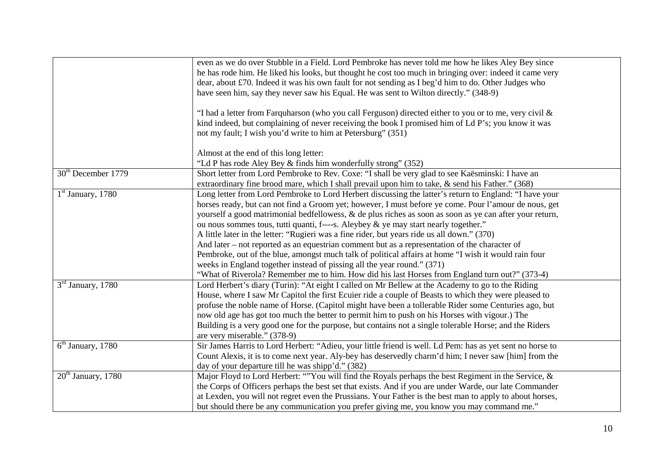|                                | even as we do over Stubble in a Field. Lord Pembroke has never told me how he likes Aley Bey since<br>he has rode him. He liked his looks, but thought he cost too much in bringing over: indeed it came very |
|--------------------------------|---------------------------------------------------------------------------------------------------------------------------------------------------------------------------------------------------------------|
|                                | dear, about £70. Indeed it was his own fault for not sending as I beg'd him to do. Other Judges who                                                                                                           |
|                                | have seen him, say they never saw his Equal. He was sent to Wilton directly." (348-9)                                                                                                                         |
|                                | "I had a letter from Farquharson (who you call Ferguson) directed either to you or to me, very civil &                                                                                                        |
|                                | kind indeed, but complaining of never receiving the book I promised him of Ld P's; you know it was<br>not my fault; I wish you'd write to him at Petersburg" (351)                                            |
|                                | Almost at the end of this long letter:                                                                                                                                                                        |
|                                | "Ld P has rode Aley Bey & finds him wonderfully strong" (352)                                                                                                                                                 |
| 30 <sup>th</sup> December 1779 | Short letter from Lord Pembroke to Rev. Coxe: "I shall be very glad to see Kaësminski: I have an<br>extraordinary fine brood mare, which I shall prevail upon him to take, & send his Father." (368)          |
| $1st$ January, 1780            | Long letter from Lord Pembroke to Lord Herbert discussing the latter's return to England: "I have your                                                                                                        |
|                                | horses ready, but can not find a Groom yet; however, I must before ye come. Pour l'amour de nous, get                                                                                                         |
|                                | yourself a good matrimonial bedfellowess, & de plus riches as soon as soon as ye can after your return,                                                                                                       |
|                                | ou nous sommes tous, tutti quanti, f----s. Aleybey & ye may start nearly together."                                                                                                                           |
|                                | A little later in the letter: "Rugieri was a fine rider, but years ride us all down." (370)                                                                                                                   |
|                                | And later – not reported as an equestrian comment but as a representation of the character of                                                                                                                 |
|                                | Pembroke, out of the blue, amongst much talk of political affairs at home "I wish it would rain four                                                                                                          |
|                                | weeks in England together instead of pissing all the year round." (371)                                                                                                                                       |
|                                | "What of Riverola? Remember me to him. How did his last Horses from England turn out?" (373-4)                                                                                                                |
| $3rd$ January, 1780            | Lord Herbert's diary (Turin): "At eight I called on Mr Bellew at the Academy to go to the Riding                                                                                                              |
|                                | House, where I saw Mr Capitol the first Ecuier ride a couple of Beasts to which they were pleased to                                                                                                          |
|                                | profuse the noble name of Horse. (Capitol might have been a tollerable Rider some Centuries ago, but                                                                                                          |
|                                | now old age has got too much the better to permit him to push on his Horses with vigour.) The                                                                                                                 |
|                                | Building is a very good one for the purpose, but contains not a single tolerable Horse; and the Riders                                                                                                        |
|                                | are very miserable." (378-9)                                                                                                                                                                                  |
| $6th$ January, 1780            | Sir James Harris to Lord Herbert: "Adieu, your little friend is well. Ld Pem: has as yet sent no horse to                                                                                                     |
|                                | Count Alexis, it is to come next year. Aly-bey has deservedly charm'd him; I never saw [him] from the                                                                                                         |
|                                | day of your departure till he was shipp'd." (382)                                                                                                                                                             |
| 20 <sup>th</sup> January, 1780 | Major Floyd to Lord Herbert: ""You will find the Royals perhaps the best Regiment in the Service, &                                                                                                           |
|                                | the Corps of Officers perhaps the best set that exists. And if you are under Warde, our late Commander                                                                                                        |
|                                | at Lexden, you will not regret even the Prussians. Your Father is the best man to apply to about horses,                                                                                                      |
|                                | but should there be any communication you prefer giving me, you know you may command me."                                                                                                                     |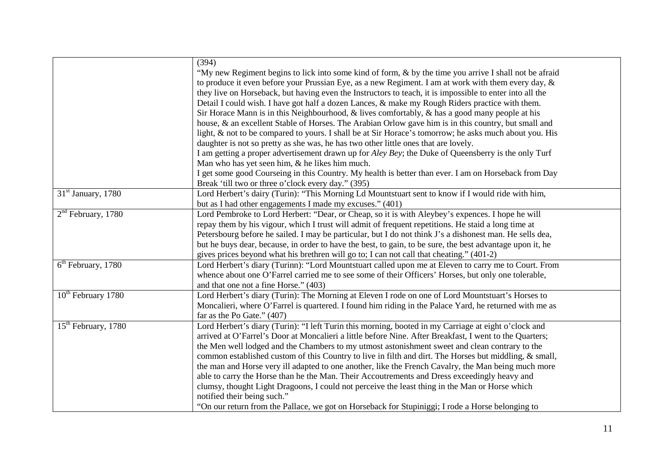|                                 | (394)                                                                                                                                |
|---------------------------------|--------------------------------------------------------------------------------------------------------------------------------------|
|                                 | "My new Regiment begins to lick into some kind of form, & by the time you arrive I shall not be afraid                               |
|                                 | to produce it even before your Prussian Eye, as a new Regiment. I am at work with them every day, $\&$                               |
|                                 | they live on Horseback, but having even the Instructors to teach, it is impossible to enter into all the                             |
|                                 | Detail I could wish. I have got half a dozen Lances, & make my Rough Riders practice with them.                                      |
|                                 | Sir Horace Mann is in this Neighbourhood, & lives comfortably, $\&$ has a good many people at his                                    |
|                                 | house, & an excellent Stable of Horses. The Arabian Orlow gave him is in this country, but small and                                 |
|                                 | light, & not to be compared to yours. I shall be at Sir Horace's tomorrow; he asks much about you. His                               |
|                                 | daughter is not so pretty as she was, he has two other little ones that are lovely.                                                  |
|                                 | I am getting a proper advertisement drawn up for <i>Aley Bey</i> ; the Duke of Queensberry is the only Turf                          |
|                                 | Man who has yet seen him, & he likes him much.                                                                                       |
|                                 | I get some good Courseing in this Country. My health is better than ever. I am on Horseback from Day                                 |
|                                 | Break 'till two or three o'clock every day." (395)                                                                                   |
| $31st$ January, 1780            | Lord Herbert's dairy (Turin): "This Morning Ld Mountstuart sent to know if I would ride with him,                                    |
|                                 | but as I had other engagements I made my excuses." (401)                                                                             |
| $2nd$ February, 1780            | Lord Pembroke to Lord Herbert: "Dear, or Cheap, so it is with Aleybey's expences. I hope he will                                     |
|                                 | repay them by his vigour, which I trust will admit of frequent repetitions. He staid a long time at                                  |
|                                 | Petersbourg before he sailed. I may be particular, but I do not think J's a dishonest man. He sells dea,                             |
|                                 | but he buys dear, because, in order to have the best, to gain, to be sure, the best advantage upon it, he                            |
|                                 | gives prices beyond what his brethren will go to; I can not call that cheating." (401-2)                                             |
| $6th$ February, 1780            | Lord Herbert's diary (Turinn): "Lord Mountstuart called upon me at Eleven to carry me to Court. From                                 |
|                                 | whence about one O'Farrel carried me to see some of their Officers' Horses, but only one tolerable,                                  |
|                                 | and that one not a fine Horse." (403)                                                                                                |
| 10 <sup>th</sup> February 1780  | Lord Herbert's diary (Turin): The Morning at Eleven I rode on one of Lord Mountstuart's Horses to                                    |
|                                 | Moncalieri, where O'Farrel is quartered. I found him riding in the Palace Yard, he returned with me as                               |
| 15 <sup>th</sup> February, 1780 | far as the Po Gate." $(407)$<br>Lord Herbert's diary (Turin): "I left Turin this morning, booted in my Carriage at eight o'clock and |
|                                 | arrived at O'Farrel's Door at Moncalieri a little before Nine. After Breakfast, I went to the Quarters;                              |
|                                 | the Men well lodged and the Chambers to my utmost astonishment sweet and clean contrary to the                                       |
|                                 | common established custom of this Country to live in filth and dirt. The Horses but middling, & small,                               |
|                                 | the man and Horse very ill adapted to one another, like the French Cavalry, the Man being much more                                  |
|                                 | able to carry the Horse than he the Man. Their Accoutrements and Dress exceedingly heavy and                                         |
|                                 | clumsy, thought Light Dragoons, I could not perceive the least thing in the Man or Horse which                                       |
|                                 | notified their being such."                                                                                                          |
|                                 | "On our return from the Pallace, we got on Horseback for Stupiniggi; I rode a Horse belonging to                                     |
|                                 |                                                                                                                                      |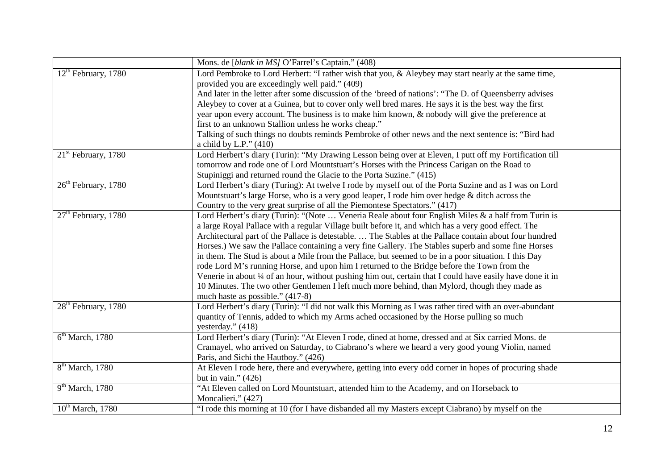|                                 | Mons. de [blank in MS] O'Farrel's Captain." (408)                                                          |
|---------------------------------|------------------------------------------------------------------------------------------------------------|
| $12th$ February, 1780           | Lord Pembroke to Lord Herbert: "I rather wish that you, & Aleybey may start nearly at the same time,       |
|                                 | provided you are exceedingly well paid." (409)                                                             |
|                                 | And later in the letter after some discussion of the 'breed of nations': "The D. of Queensberry advises    |
|                                 | Aleybey to cover at a Guinea, but to cover only well bred mares. He says it is the best way the first      |
|                                 | year upon every account. The business is to make him known, & nobody will give the preference at           |
|                                 | first to an unknown Stallion unless he works cheap."                                                       |
|                                 | Talking of such things no doubts reminds Pembroke of other news and the next sentence is: "Bird had        |
|                                 | a child by L.P." $(410)$                                                                                   |
| $21st$ February, 1780           | Lord Herbert's diary (Turin): "My Drawing Lesson being over at Eleven, I putt off my Fortification till    |
|                                 | tomorrow and rode one of Lord Mountstuart's Horses with the Princess Carigan on the Road to                |
|                                 | Stupiniggi and returned round the Glacie to the Porta Suzine." (415)                                       |
| $26th$ February, 1780           | Lord Herbert's diary (Turing): At twelve I rode by myself out of the Porta Suzine and as I was on Lord     |
|                                 | Mountstuart's large Horse, who is a very good leaper, I rode him over hedge & ditch across the             |
|                                 | Country to the very great surprise of all the Piemontese Spectators." (417)                                |
| $27th$ February, 1780           | Lord Herbert's diary (Turin): "(Note  Veneria Reale about four English Miles & a half from Turin is        |
|                                 | a large Royal Pallace with a regular Village built before it, and which has a very good effect. The        |
|                                 | Architectural part of the Pallace is detestable.  The Stables at the Pallace contain about four hundred    |
|                                 | Horses.) We saw the Pallace containing a very fine Gallery. The Stables superb and some fine Horses        |
|                                 | in them. The Stud is about a Mile from the Pallace, but seemed to be in a poor situation. I this Day       |
|                                 | rode Lord M's running Horse, and upon him I returned to the Bridge before the Town from the                |
|                                 | Venerie in about 1/4 of an hour, without pushing him out, certain that I could have easily have done it in |
|                                 | 10 Minutes. The two other Gentlemen I left much more behind, than Mylord, though they made as              |
|                                 | much haste as possible." (417-8)                                                                           |
| 28 <sup>th</sup> February, 1780 | Lord Herbert's diary (Turin): "I did not walk this Morning as I was rather tired with an over-abundant     |
|                                 | quantity of Tennis, added to which my Arms ached occasioned by the Horse pulling so much                   |
|                                 | yesterday." (418)                                                                                          |
| 6 <sup>th</sup> March, 1780     | Lord Herbert's diary (Turin): "At Eleven I rode, dined at home, dressed and at Six carried Mons. de        |
|                                 | Cramayel, who arrived on Saturday, to Ciabrano's where we heard a very good young Violin, named            |
|                                 | Paris, and Sichi the Hautboy." (426)                                                                       |
| $8th$ March, 1780               | At Eleven I rode here, there and everywhere, getting into every odd corner in hopes of procuring shade     |
|                                 | but in vain." $(426)$                                                                                      |
| $9th March$ , 1780              | "At Eleven called on Lord Mountstuart, attended him to the Academy, and on Horseback to                    |
|                                 | Moncalieri." (427)                                                                                         |
| $10^{th}$ March, 1780           | "I rode this morning at 10 (for I have disbanded all my Masters except Ciabrano) by myself on the          |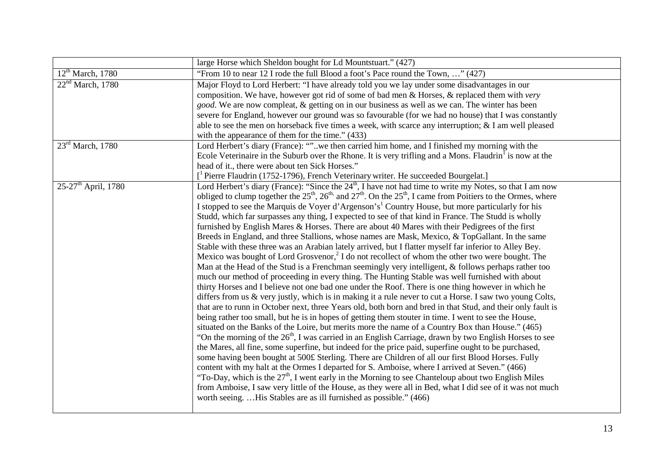|                                   | large Horse which Sheldon bought for Ld Mountstuart." (427)                                                                                                   |
|-----------------------------------|---------------------------------------------------------------------------------------------------------------------------------------------------------------|
| 12 <sup>th</sup> March, 1780      | "From 10 to near 12 I rode the full Blood a foot's Pace round the Town, " (427)                                                                               |
| 22 <sup>nd</sup> March, 1780      | Major Floyd to Lord Herbert: "I have already told you we lay under some disadvantages in our                                                                  |
|                                   | composition. We have, however got rid of some of bad men & Horses, & replaced them with very                                                                  |
|                                   | good. We are now compleat, & getting on in our business as well as we can. The winter has been                                                                |
|                                   | severe for England, however our ground was so favourable (for we had no house) that I was constantly                                                          |
|                                   | able to see the men on horseback five times a week, with scarce any interruption; $&$ I am well pleased                                                       |
|                                   | with the appearance of them for the time." (433)                                                                                                              |
| $23rd$ March, 1780                | Lord Herbert's diary (France): ""we then carried him home, and I finished my morning with the                                                                 |
|                                   | Ecole Veterinaire in the Suburb over the Rhone. It is very trifling and a Mons. Flaudrin <sup>1</sup> is now at the                                           |
|                                   | head of it., there were about ten Sick Horses."                                                                                                               |
|                                   | <sup>1</sup> Pierre Flaudrin (1752-1796), French Veterinary writer. He succeeded Bourgelat.]                                                                  |
| $25-27$ <sup>th</sup> April, 1780 | Lord Herbert's diary (France): "Since the 24 <sup>th</sup> , I have not had time to write my Notes, so that I am now                                          |
|                                   | obliged to clump together the $25^{\text{th}}$ , $26^{\text{th}}$ , and $27^{\text{th}}$ . On the $25^{\text{th}}$ , I came from Poitiers to the Ormes, where |
|                                   | I stopped to see the Marquis de Voyer d'Argenson's <sup>1</sup> Country House, but more particularly for his                                                  |
|                                   | Studd, which far surpasses any thing, I expected to see of that kind in France. The Studd is wholly                                                           |
|                                   | furnished by English Mares & Horses. There are about 40 Mares with their Pedigrees of the first                                                               |
|                                   | Breeds in England, and three Stallions, whose names are Mask, Mexico, & TopGallant. In the same                                                               |
|                                   | Stable with these three was an Arabian lately arrived, but I flatter myself far inferior to Alley Bey.                                                        |
|                                   | Mexico was bought of Lord Grosvenor, $2 \text{ I}$ do not recollect of whom the other two were bought. The                                                    |
|                                   | Man at the Head of the Stud is a Frenchman seemingly very intelligent, & follows perhaps rather too                                                           |
|                                   | much our method of proceeding in every thing. The Hunting Stable was well furnished with about                                                                |
|                                   | thirty Horses and I believe not one bad one under the Roof. There is one thing however in which he                                                            |
|                                   | differs from us & very justly, which is in making it a rule never to cut a Horse. I saw two young Colts,                                                      |
|                                   | that are to runn in October next, three Years old, both born and bred in that Stud, and their only fault is                                                   |
|                                   | being rather too small, but he is in hopes of getting them stouter in time. I went to see the House,                                                          |
|                                   | situated on the Banks of the Loire, but merits more the name of a Country Box than House." (465)                                                              |
|                                   | "On the morning of the $26th$ , I was carried in an English Carriage, drawn by two English Horses to see                                                      |
|                                   | the Mares, all fine, some superfine, but indeed for the price paid, superfine ought to be purchased,                                                          |
|                                   | some having been bought at 500£ Sterling. There are Children of all our first Blood Horses. Fully                                                             |
|                                   | content with my halt at the Ormes I departed for S. Amboise, where I arrived at Seven." (466)                                                                 |
|                                   | "To-Day, which is the $27th$ , I went early in the Morning to see Chanteloup about two English Miles                                                          |
|                                   | from Amboise, I saw very little of the House, as they were all in Bed, what I did see of it was not much                                                      |
|                                   | worth seeingHis Stables are as ill furnished as possible." (466)                                                                                              |
|                                   |                                                                                                                                                               |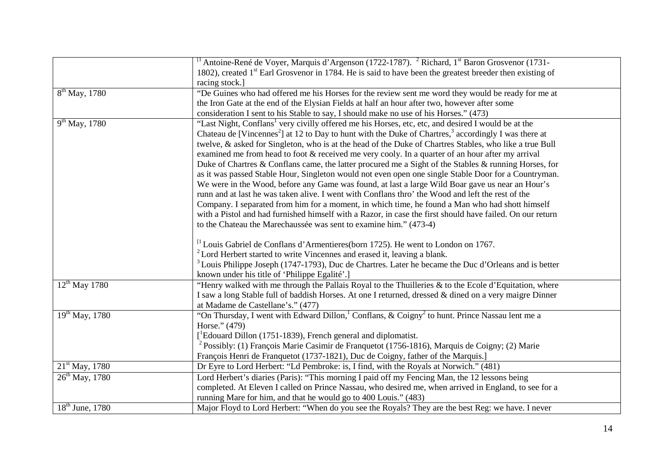|                      | <sup>1</sup> Antoine-René de Voyer, Marquis d'Argenson (1722-1787). <sup>2</sup> Richard, 1 <sup>st</sup> Baron Grosvenor (1731- |
|----------------------|----------------------------------------------------------------------------------------------------------------------------------|
|                      | 1802), created $1st$ Earl Grosvenor in 1784. He is said to have been the greatest breeder then existing of                       |
|                      | racing stock.]                                                                                                                   |
| $8th$ May, 1780      | "De Guines who had offered me his Horses for the review sent me word they would be ready for me at                               |
|                      | the Iron Gate at the end of the Elysian Fields at half an hour after two, however after some                                     |
|                      | consideration I sent to his Stable to say, I should make no use of his Horses." (473)                                            |
| $9^{th}$ May, 1780   | "Last Night, Conflans <sup>1</sup> very civilly offered me his Horses, etc, etc, and desired I would be at the                   |
|                      | Chateau de [Vincennes <sup>2</sup> ] at 12 to Day to hunt with the Duke of Chartres, <sup>3</sup> accordingly I was there at     |
|                      | twelve, & asked for Singleton, who is at the head of the Duke of Chartres Stables, who like a true Bull                          |
|                      | examined me from head to foot & received me very cooly. In a quarter of an hour after my arrival                                 |
|                      | Duke of Chartres & Conflans came, the latter procured me a Sight of the Stables & running Horses, for                            |
|                      | as it was passed Stable Hour, Singleton would not even open one single Stable Door for a Countryman.                             |
|                      | We were in the Wood, before any Game was found, at last a large Wild Boar gave us near an Hour's                                 |
|                      | runn and at last he was taken alive. I went with Conflans thro' the Wood and left the rest of the                                |
|                      | Company. I separated from him for a moment, in which time, he found a Man who had shott himself                                  |
|                      | with a Pistol and had furnished himself with a Razor, in case the first should have failed. On our return                        |
|                      | to the Chateau the Marechaussée was sent to examine him." (473-4)                                                                |
|                      |                                                                                                                                  |
|                      | <sup>[1</sup> Louis Gabriel de Conflans d'Armentieres(born 1725). He went to London on 1767.                                     |
|                      | <sup>2</sup> Lord Herbert started to write Vincennes and erased it, leaving a blank.                                             |
|                      | <sup>3</sup> Louis Philippe Joseph (1747-1793), Duc de Chartres. Later he became the Duc d'Orleans and is better                 |
|                      | known under his title of 'Philippe Egalité'.]                                                                                    |
| $12^{th}$ May 1780   | "Henry walked with me through the Pallais Royal to the Thuilleries & to the Ecole d'Equitation, where                            |
|                      | I saw a long Stable full of baddish Horses. At one I returned, dressed & dined on a very maigre Dinner                           |
|                      | at Madame de Castellane's." (477)                                                                                                |
| $19^{th}$ May, 1780  | "On Thursday, I went with Edward Dillon, <sup>1</sup> Conflans, & Coigny <sup>2</sup> to hunt. Prince Nassau lent me a           |
|                      | Horse." (479)                                                                                                                    |
|                      | $[$ <sup>1</sup> Edouard Dillon (1751-1839), French general and diplomatist.                                                     |
|                      | <sup>2</sup> Possibly: (1) François Marie Casimir de Franquetot (1756-1816), Marquis de Coigny; (2) Marie                        |
|                      | François Henri de Franquetot (1737-1821), Duc de Coigny, father of the Marquis.]                                                 |
| $21st$ May, 1780     | Dr Eyre to Lord Herbert: "Ld Pembroke: is, I find, with the Royals at Norwich." (481)                                            |
| $26^{th}$ May, 1780  | Lord Herbert's diaries (Paris): "This morning I paid off my Fencing Man, the 12 lessons being                                    |
|                      | completed. At Eleven I called on Prince Nassau, who desired me, when arrived in England, to see for a                            |
|                      | running Mare for him, and that he would go to 400 Louis." (483)                                                                  |
| $18^{th}$ June, 1780 | Major Floyd to Lord Herbert: "When do you see the Royals? They are the best Reg: we have. I never                                |